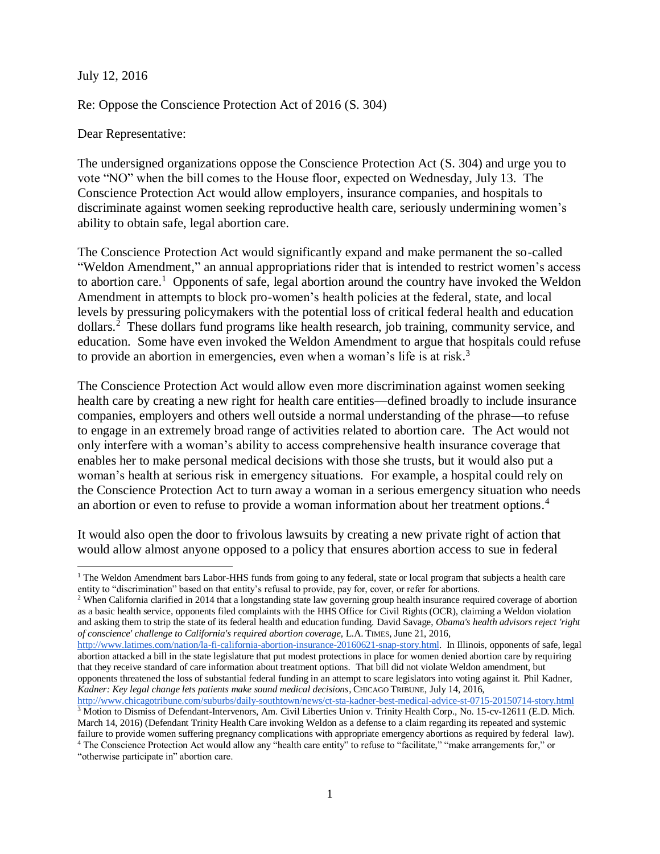July 12, 2016

Re: Oppose the Conscience Protection Act of 2016 (S. 304)

Dear Representative:

The undersigned organizations oppose the Conscience Protection Act (S. 304) and urge you to vote "NO" when the bill comes to the House floor, expected on Wednesday, July 13. The Conscience Protection Act would allow employers, insurance companies, and hospitals to discriminate against women seeking reproductive health care, seriously undermining women's ability to obtain safe, legal abortion care.

The Conscience Protection Act would significantly expand and make permanent the so-called "Weldon Amendment," an annual appropriations rider that is intended to restrict women's access to abortion care.<sup>1</sup> Opponents of safe, legal abortion around the country have invoked the Weldon Amendment in attempts to block pro-women's health policies at the federal, state, and local levels by pressuring policymakers with the potential loss of critical federal health and education dollars.<sup>2</sup> These dollars fund programs like health research, job training, community service, and education. Some have even invoked the Weldon Amendment to argue that hospitals could refuse to provide an abortion in emergencies, even when a woman's life is at risk.<sup>3</sup>

The Conscience Protection Act would allow even more discrimination against women seeking health care by creating a new right for health care entities—defined broadly to include insurance companies, employers and others well outside a normal understanding of the phrase—to refuse to engage in an extremely broad range of activities related to abortion care. The Act would not only interfere with a woman's ability to access comprehensive health insurance coverage that enables her to make personal medical decisions with those she trusts, but it would also put a woman's health at serious risk in emergency situations. For example, a hospital could rely on the Conscience Protection Act to turn away a woman in a serious emergency situation who needs an abortion or even to refuse to provide a woman information about her treatment options. 4

It would also open the door to frivolous lawsuits by creating a new private right of action that would allow almost anyone opposed to a policy that ensures abortion access to sue in federal

<sup>2</sup> When California clarified in 2014 that a longstanding state law governing group health insurance required coverage of abortion as a basic health service, opponents filed complaints with the HHS Office for Civil Rights (OCR), claiming a Weldon violation and asking them to strip the state of its federal health and education funding. David Savage, *Obama's health advisors reject 'right of conscience' challenge to California's required abortion coverage*, L.A. TIMES, June 21, 2016,

"otherwise participate in" abortion care.

 $\overline{a}$ 

<sup>&</sup>lt;sup>1</sup> The Weldon Amendment bars Labor-HHS funds from going to any federal, state or local program that subjects a health care entity to "discrimination" based on that entity's refusal to provide, pay for, cover, or refer for abortions.

[http://www.latimes.com/nation/la-fi-california-abortion-insurance-20160621-snap-story.html.](http://www.latimes.com/nation/la-fi-california-abortion-insurance-20160621-snap-story.html) In Illinois, opponents of safe, legal abortion attacked a bill in the state legislature that put modest protections in place for women denied abortion care by requiring that they receive standard of care information about treatment options. That bill did not violate Weldon amendment, but opponents threatened the loss of substantial federal funding in an attempt to scare legislators into voting against it. Phil Kadner, *Kadner: Key legal change lets patients make sound medical decisions*, CHICAGO TRIBUNE, July 14, 2016,

<http://www.chicagotribune.com/suburbs/daily-southtown/news/ct-sta-kadner-best-medical-advice-st-0715-20150714-story.html> <sup>3</sup> Motion to Dismiss of Defendant-Intervenors, Am. Civil Liberties Union v. Trinity Health Corp., No. 15-cv-12611 (E.D. Mich. March 14, 2016) (Defendant Trinity Health Care invoking Weldon as a defense to a claim regarding its repeated and systemic failure to provide women suffering pregnancy complications with appropriate emergency abortions as required by federal law). <sup>4</sup> The Conscience Protection Act would allow any "health care entity" to refuse to "facilitate," "make arrangements for," or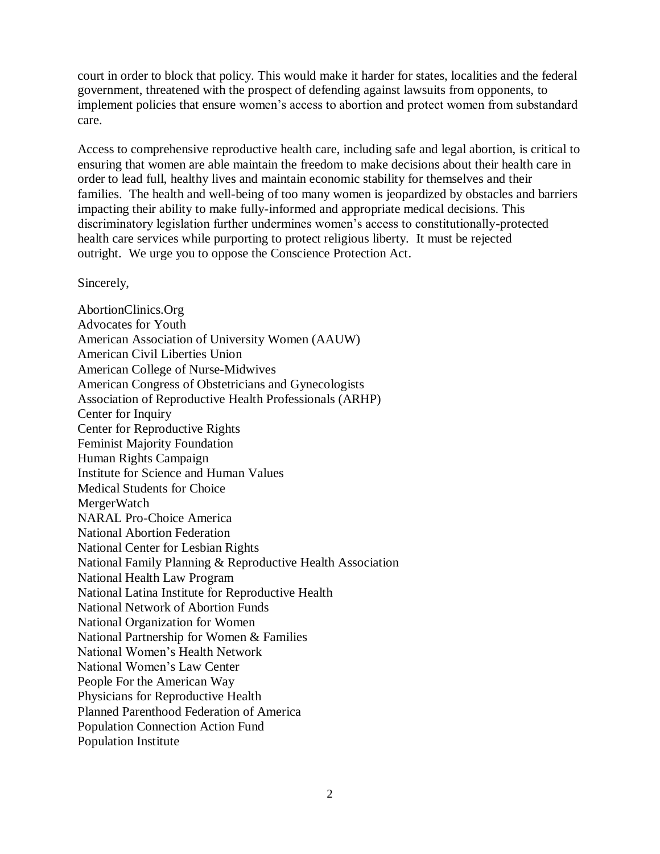court in order to block that policy. This would make it harder for states, localities and the federal government, threatened with the prospect of defending against lawsuits from opponents, to implement policies that ensure women's access to abortion and protect women from substandard care.

Access to comprehensive reproductive health care, including safe and legal abortion, is critical to ensuring that women are able maintain the freedom to make decisions about their health care in order to lead full, healthy lives and maintain economic stability for themselves and their families. The health and well-being of too many women is jeopardized by obstacles and barriers impacting their ability to make fully-informed and appropriate medical decisions. This discriminatory legislation further undermines women's access to constitutionally-protected health care services while purporting to protect religious liberty. It must be rejected outright. We urge you to oppose the Conscience Protection Act.

Sincerely,

AbortionClinics.Org Advocates for Youth American Association of University Women (AAUW) American Civil Liberties Union American College of Nurse-Midwives American Congress of Obstetricians and Gynecologists Association of Reproductive Health Professionals (ARHP) Center for Inquiry Center for Reproductive Rights Feminist Majority Foundation Human Rights Campaign Institute for Science and Human Values Medical Students for Choice **MergerWatch** NARAL Pro-Choice America National Abortion Federation National Center for Lesbian Rights National Family Planning & Reproductive Health Association National Health Law Program National Latina Institute for Reproductive Health National Network of Abortion Funds National Organization for Women National Partnership for Women & Families National Women's Health Network National Women's Law Center People For the American Way Physicians for Reproductive Health Planned Parenthood Federation of America Population Connection Action Fund Population Institute